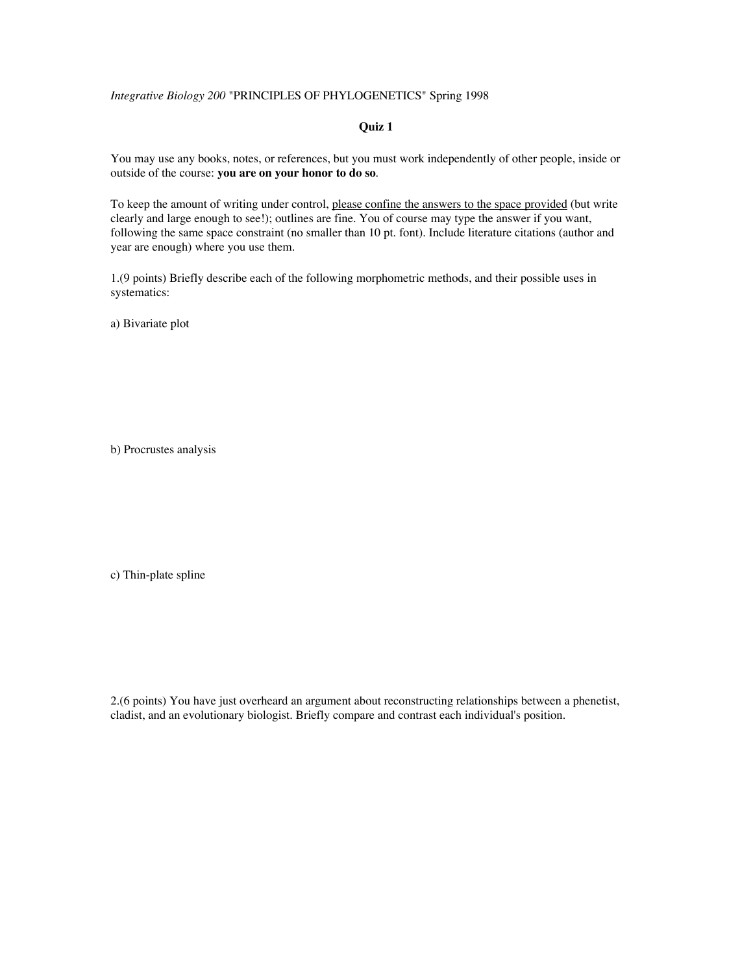## *Integrative Biology 200* "PRINCIPLES OF PHYLOGENETICS" Spring 1998

## **Quiz 1**

You may use any books, notes, or references, but you must work independently of other people, inside or outside of the course: **you are on your honor to do so**.

To keep the amount of writing under control, please confine the answers to the space provided (but write clearly and large enough to see!); outlines are fine. You of course may type the answer if you want, following the same space constraint (no smaller than 10 pt. font). Include literature citations (author and year are enough) where you use them.

1.(9 points) Briefly describe each of the following morphometric methods, and their possible uses in systematics:

a) Bivariate plot

b) Procrustes analysis

c) Thin-plate spline

2.(6 points) You have just overheard an argument about reconstructing relationships between a phenetist, cladist, and an evolutionary biologist. Briefly compare and contrast each individual's position.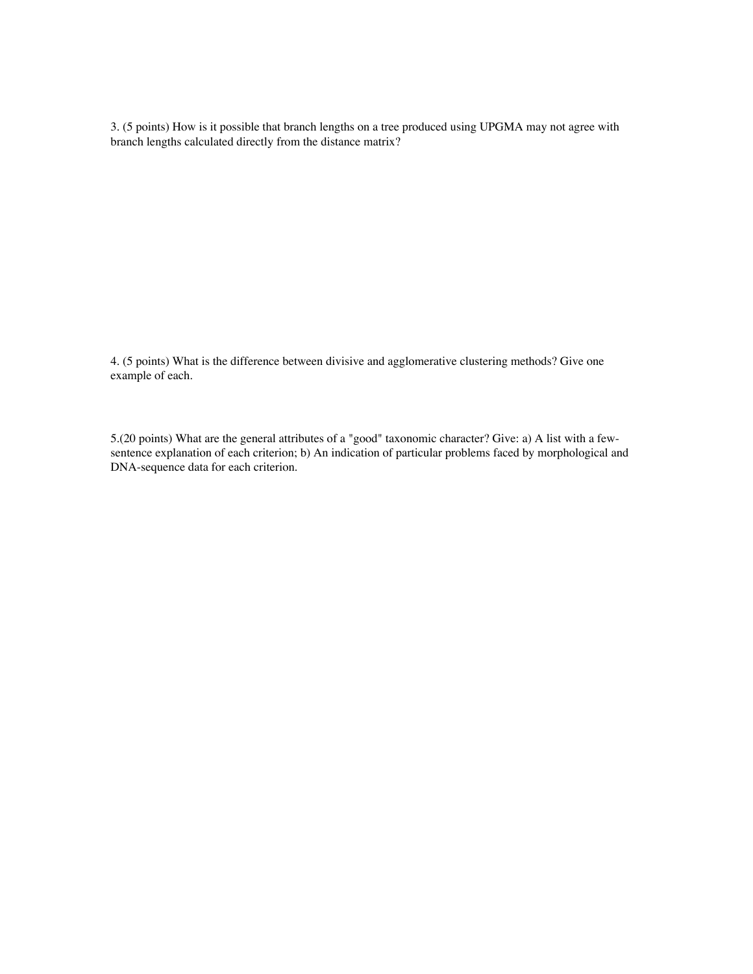3. (5 points) How is it possible that branch lengths on a tree produced using UPGMA may not agree with branch lengths calculated directly from the distance matrix?

4. (5 points) What is the difference between divisive and agglomerative clustering methods? Give one example of each.

5.(20 points) What are the general attributes of a "good" taxonomic character? Give: a) A list with a fewsentence explanation of each criterion; b) An indication of particular problems faced by morphological and DNA-sequence data for each criterion.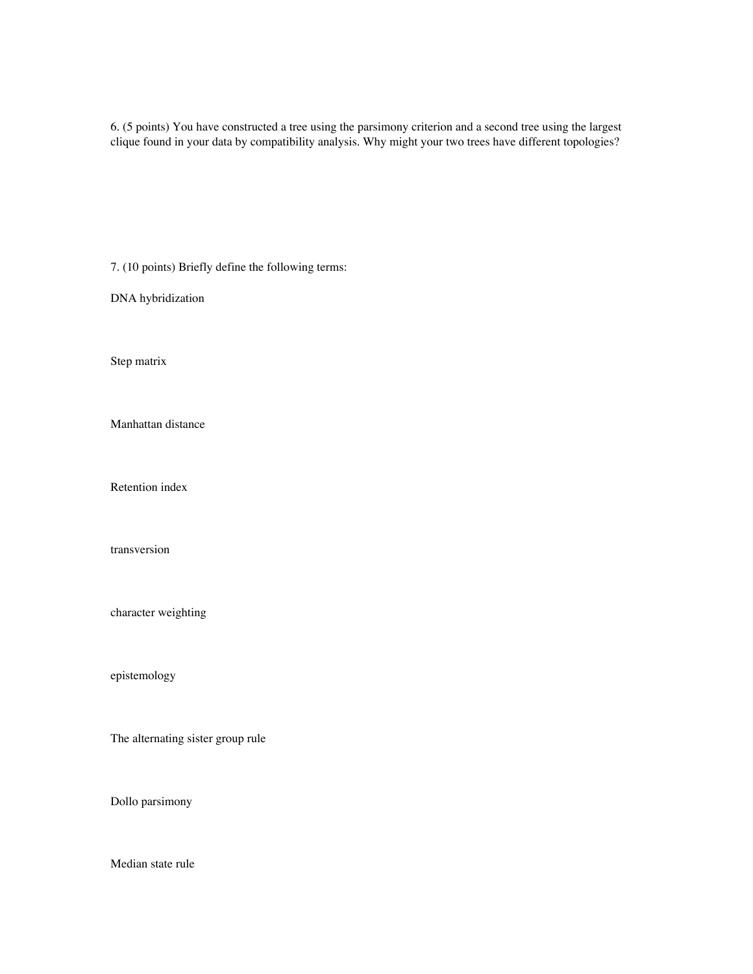6. (5 points) You have constructed a tree using the parsimony criterion and a second tree using the largest clique found in your data by compatibility analysis. Why might your two trees have different topologies?

7. (10 points) Briefly define the following terms:

DNA hybridization

Step matrix

Manhattan distance

Retention index

transversion

character weighting

epistemology

The alternating sister group rule

Dollo parsimony

Median state rule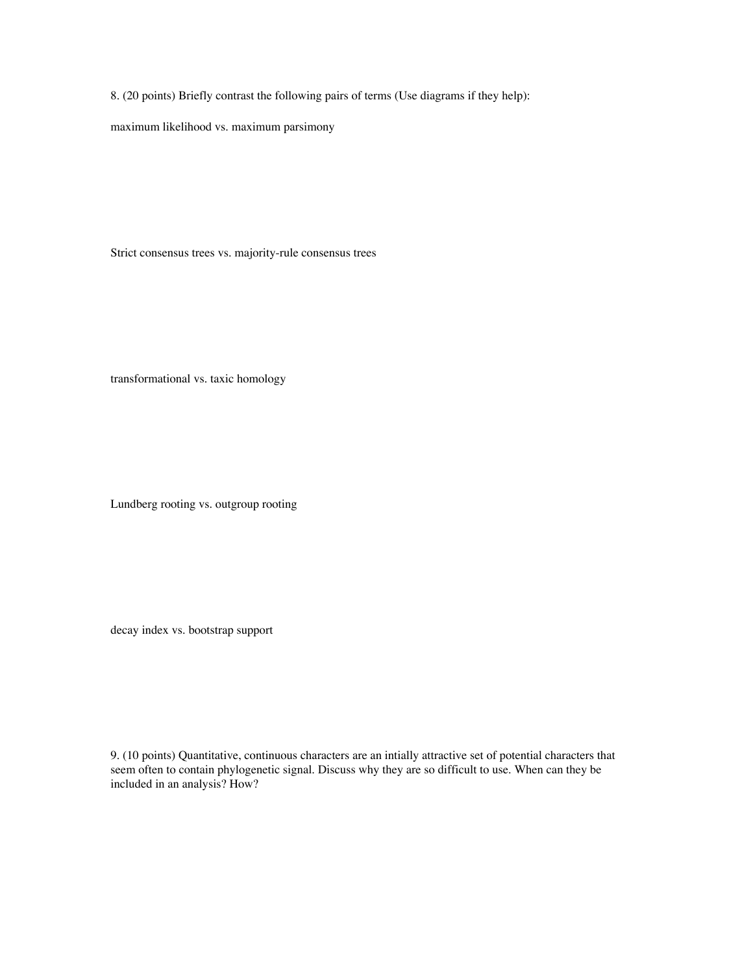8. (20 points) Briefly contrast the following pairs of terms (Use diagrams if they help):

maximum likelihood vs. maximum parsimony

Strict consensus trees vs. majority-rule consensus trees

transformational vs. taxic homology

Lundberg rooting vs. outgroup rooting

decay index vs. bootstrap support

9. (10 points) Quantitative, continuous characters are an intially attractive set of potential characters that seem often to contain phylogenetic signal. Discuss why they are so difficult to use. When can they be included in an analysis? How?